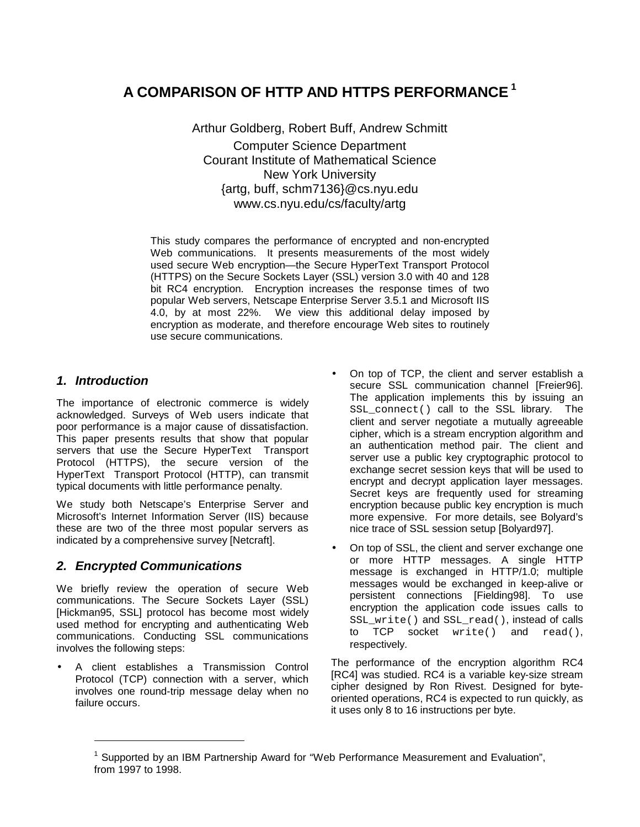# **A COMPARISON OF HTTP AND HTTPS PERFORMANCE<sup>1</sup>**

Arthur Goldberg, Robert Buff, Andrew Schmitt Computer Science Department Courant Institute of Mathematical Science New York University {artg, buff, schm7136}@cs.nyu.edu www.cs.nyu.edu/cs/faculty/artg

This study compares the performance of encrypted and non-encrypted Web communications. It presents measurements of the most widely used secure Web encryption—the Secure HyperText Transport Protocol (HTTPS) on the Secure Sockets Layer (SSL) version 3.0 with 40 and 128 bit RC4 encryption. Encryption increases the response times of two popular Web servers, Netscape Enterprise Server 3.5.1 and Microsoft IIS 4.0, by at most 22%. We view this additional delay imposed by encryption as moderate, and therefore encourage Web sites to routinely use secure communications.

### **1. Introduction**

l

The importance of electronic commerce is widely acknowledged. Surveys of Web users indicate that poor performance is a major cause of dissatisfaction. This paper presents results that show that popular servers that use the Secure HyperText Transport Protocol (HTTPS), the secure version of the HyperText Transport Protocol (HTTP), can transmit typical documents with little performance penalty.

We study both Netscape's Enterprise Server and Microsoft's Internet Information Server (IIS) because these are two of the three most popular servers as indicated by a comprehensive survey [Netcraft].

# **2. Encrypted Communications**

We briefly review the operation of secure Web communications. The Secure Sockets Layer (SSL) [Hickman95, SSL] protocol has become most widely used method for encrypting and authenticating Web communications. Conducting SSL communications involves the following steps:

• A client establishes a Transmission Control Protocol (TCP) connection with a server, which involves one round-trip message delay when no failure occurs.

- On top of TCP, the client and server establish a secure SSL communication channel [Freier96]. The application implements this by issuing an SSL connect() call to the SSL library. The client and server negotiate a mutually agreeable cipher, which is a stream encryption algorithm and an authentication method pair. The client and server use a public key cryptographic protocol to exchange secret session keys that will be used to encrypt and decrypt application layer messages. Secret keys are frequently used for streaming encryption because public key encryption is much more expensive. For more details, see Bolyard's nice trace of SSL session setup [Bolyard97].
- On top of SSL, the client and server exchange one or more HTTP messages. A single HTTP message is exchanged in HTTP/1.0; multiple messages would be exchanged in keep-alive or persistent connections [Fielding98]. To use encryption the application code issues calls to SSL\_write() and SSL\_read(), instead of calls to TCP socket write() and read(), respectively.

The performance of the encryption algorithm RC4 [RC4] was studied. RC4 is a variable key-size stream cipher designed by Ron Rivest. Designed for byteoriented operations, RC4 is expected to run quickly, as it uses only 8 to 16 instructions per byte.

<sup>&</sup>lt;sup>1</sup> Supported by an IBM Partnership Award for "Web Performance Measurement and Evaluation", from 1997 to 1998.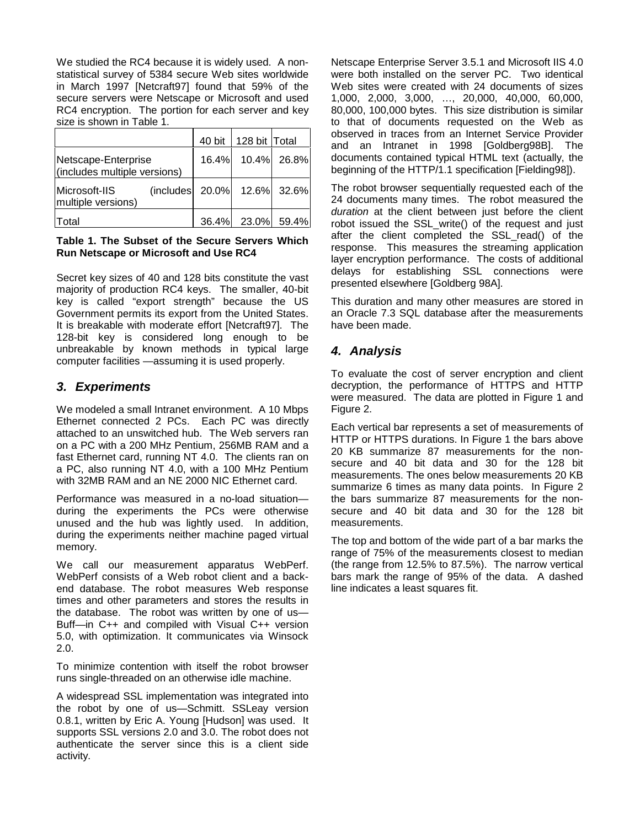We studied the RC4 because it is widely used. A nonstatistical survey of 5384 secure Web sites worldwide in March 1997 [Netcraft97] found that 59% of the secure servers were Netscape or Microsoft and used RC4 encryption. The portion for each server and key size is shown in Table 1.

|                                                     | 40 bit                      | 128 bit   Total   |       |
|-----------------------------------------------------|-----------------------------|-------------------|-------|
| Netscape-Enterprise<br>(includes multiple versions) |                             | 16.4% 10.4% 26.8% |       |
| Microsoft-IIS<br>multiple versions)                 | (includes 20.0% 12.6% 32.6% |                   |       |
| <b>Total</b>                                        |                             | 36.4% 23.0%       | 59.4% |

#### **Table 1. The Subset of the Secure Servers Which Run Netscape or Microsoft and Use RC4**

Secret key sizes of 40 and 128 bits constitute the vast majority of production RC4 keys. The smaller, 40-bit key is called "export strength" because the US Government permits its export from the United States. It is breakable with moderate effort [Netcraft97]. The 128-bit key is considered long enough to be unbreakable by known methods in typical large computer facilities —assuming it is used properly.

# **3. Experiments**

We modeled a small Intranet environment. A 10 Mbps Ethernet connected 2 PCs. Each PC was directly attached to an unswitched hub. The Web servers ran on a PC with a 200 MHz Pentium, 256MB RAM and a fast Ethernet card, running NT 4.0. The clients ran on a PC, also running NT 4.0, with a 100 MHz Pentium with 32MB RAM and an NE 2000 NIC Ethernet card.

Performance was measured in a no-load situation during the experiments the PCs were otherwise unused and the hub was lightly used. In addition, during the experiments neither machine paged virtual memory.

We call our measurement apparatus WebPerf. WebPerf consists of a Web robot client and a backend database. The robot measures Web response times and other parameters and stores the results in the database. The robot was written by one of us— Buff—in C++ and compiled with Visual C++ version 5.0, with optimization. It communicates via Winsock 2.0.

To minimize contention with itself the robot browser runs single-threaded on an otherwise idle machine.

A widespread SSL implementation was integrated into the robot by one of us—Schmitt. SSLeay version 0.8.1, written by Eric A. Young [Hudson] was used. It supports SSL versions 2.0 and 3.0. The robot does not authenticate the server since this is a client side activity.

Netscape Enterprise Server 3.5.1 and Microsoft IIS 4.0 were both installed on the server PC. Two identical Web sites were created with 24 documents of sizes 1,000, 2,000, 3,000, …, 20,000, 40,000, 60,000, 80,000, 100,000 bytes. This size distribution is similar to that of documents requested on the Web as observed in traces from an Internet Service Provider and an Intranet in 1998 [Goldberg98B]. The documents contained typical HTML text (actually, the beginning of the HTTP/1.1 specification [Fielding98]).

The robot browser sequentially requested each of the 24 documents many times. The robot measured the duration at the client between just before the client robot issued the SSL\_write() of the request and just after the client completed the SSL\_read() of the response. This measures the streaming application layer encryption performance. The costs of additional delays for establishing SSL connections were presented elsewhere [Goldberg 98A].

This duration and many other measures are stored in an Oracle 7.3 SQL database after the measurements have been made.

# **4. Analysis**

To evaluate the cost of server encryption and client decryption, the performance of HTTPS and HTTP were measured. The data are plotted in Figure 1 and Figure 2.

Each vertical bar represents a set of measurements of HTTP or HTTPS durations. In Figure 1 the bars above 20 KB summarize 87 measurements for the nonsecure and 40 bit data and 30 for the 128 bit measurements. The ones below measurements 20 KB summarize 6 times as many data points. In Figure 2 the bars summarize 87 measurements for the nonsecure and 40 bit data and 30 for the 128 bit measurements.

The top and bottom of the wide part of a bar marks the range of 75% of the measurements closest to median (the range from 12.5% to 87.5%). The narrow vertical bars mark the range of 95% of the data. A dashed line indicates a least squares fit.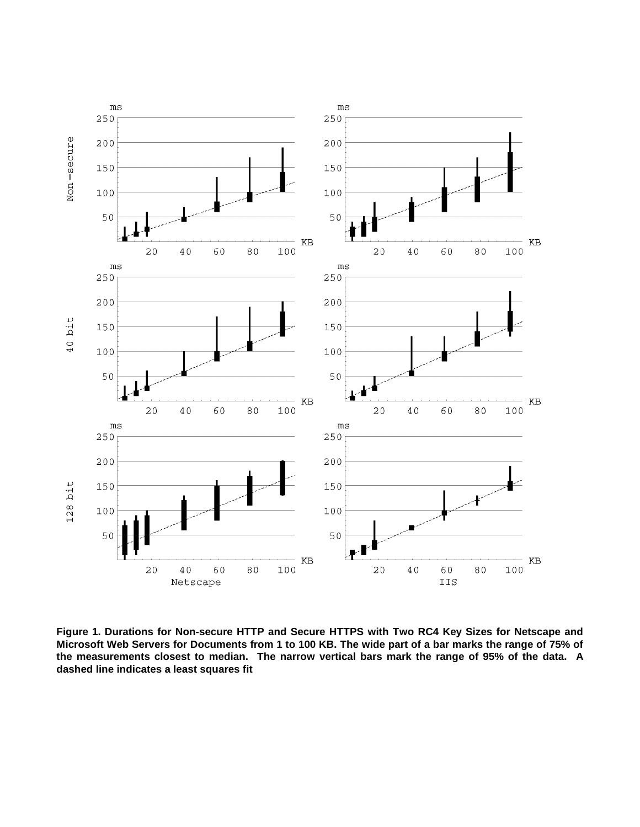

**Figure 1. Durations for Non-secure HTTP and Secure HTTPS with Two RC4 Key Sizes for Netscape and Microsoft Web Servers for Documents from 1 to 100 KB. The wide part of a bar marks the range of 75% of the measurements closest to median. The narrow vertical bars mark the range of 95% of the data. A dashed line indicates a least squares fit**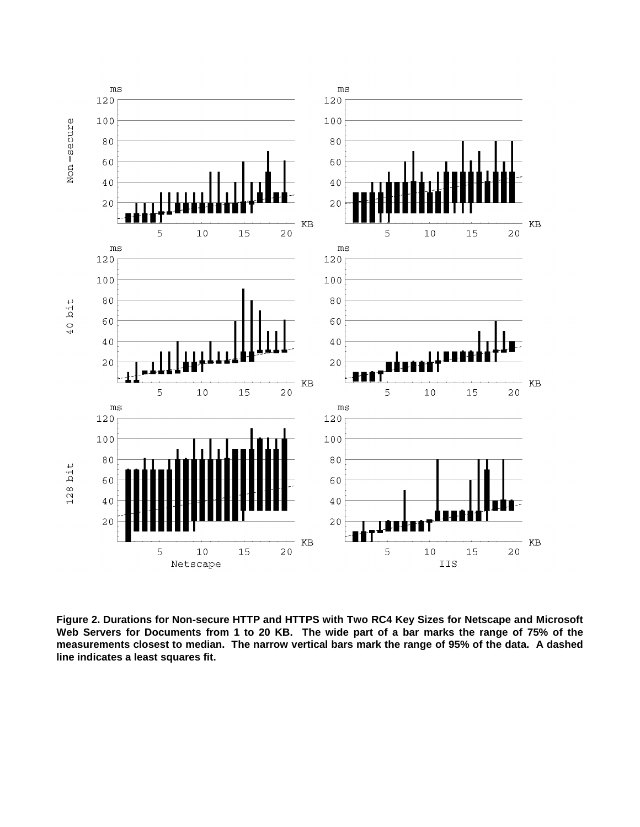

**Figure 2. Durations for Non-secure HTTP and HTTPS with Two RC4 Key Sizes for Netscape and Microsoft Web Servers for Documents from 1 to 20 KB. The wide part of a bar marks the range of 75% of the measurements closest to median. The narrow vertical bars mark the range of 95% of the data. A dashed line indicates a least squares fit.**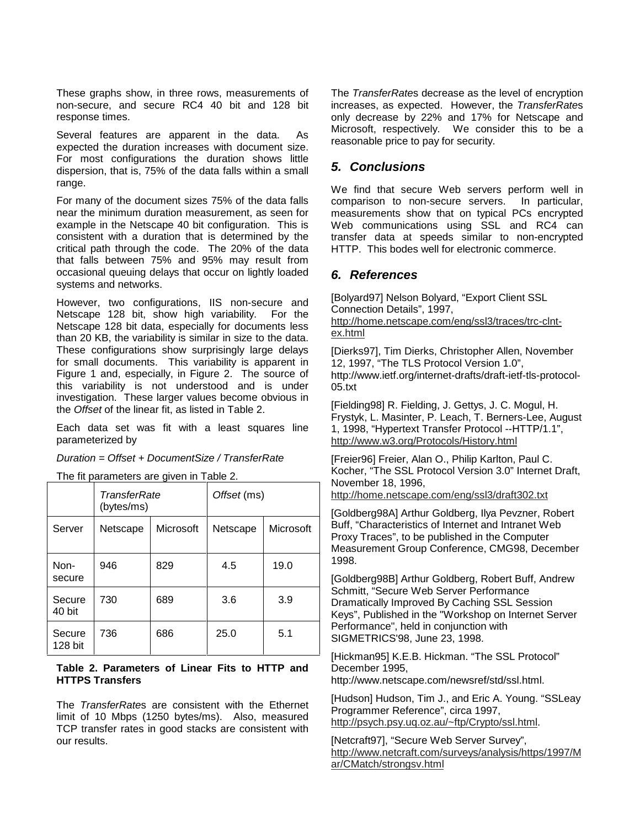These graphs show, in three rows, measurements of non-secure, and secure RC4 40 bit and 128 bit response times.

Several features are apparent in the data. As expected the duration increases with document size. For most configurations the duration shows little dispersion, that is, 75% of the data falls within a small range.

For many of the document sizes 75% of the data falls near the minimum duration measurement, as seen for example in the Netscape 40 bit configuration. This is consistent with a duration that is determined by the critical path through the code. The 20% of the data that falls between 75% and 95% may result from occasional queuing delays that occur on lightly loaded systems and networks.

However, two configurations, IIS non-secure and Netscape 128 bit, show high variability. For the Netscape 128 bit data, especially for documents less than 20 KB, the variability is similar in size to the data. These configurations show surprisingly large delays for small documents. This variability is apparent in Figure 1 and, especially, in Figure 2. The source of this variability is not understood and is under investigation. These larger values become obvious in the Offset of the linear fit, as listed in Table 2.

Each data set was fit with a least squares line parameterized by

Duration = Offset + DocumentSize / TransferRate

The fit parameters are given in Table 2.

|                   | TransferRate<br>(bytes/ms) |           | Offset (ms) |           |  |
|-------------------|----------------------------|-----------|-------------|-----------|--|
| Server            | Netscape                   | Microsoft | Netscape    | Microsoft |  |
| Non-<br>secure    | 946                        | 829       | 4.5         | 19.0      |  |
| Secure<br>40 bit  | 730                        | 689       | 3.6         | 3.9       |  |
| Secure<br>128 bit | 736                        | 686       | 25.0        | 5.1       |  |

#### **Table 2. Parameters of Linear Fits to HTTP and HTTPS Transfers**

The TransferRates are consistent with the Ethernet limit of 10 Mbps (1250 bytes/ms). Also, measured TCP transfer rates in good stacks are consistent with our results.

The TransferRates decrease as the level of encryption increases, as expected. However, the TransferRates only decrease by 22% and 17% for Netscape and Microsoft, respectively. We consider this to be a reasonable price to pay for security.

### **5. Conclusions**

We find that secure Web servers perform well in comparison to non-secure servers. In particular, measurements show that on typical PCs encrypted Web communications using SSL and RC4 can transfer data at speeds similar to non-encrypted HTTP. This bodes well for electronic commerce.

### **6. References**

[Bolyard97] Nelson Bolyard, "Export Client SSL Connection Details", 1997, http://home.netscape.com/eng/ssl3/traces/trc-clntex.html

[Dierks97], Tim Dierks, Christopher Allen, November 12, 1997, "The TLS Protocol Version 1.0", http://www.ietf.org/internet-drafts/draft-ietf-tls-protocol-05.txt

[Fielding98] R. Fielding, J. Gettys, J. C. Mogul, H. Frystyk, L. Masinter, P. Leach, T. Berners-Lee, August 1, 1998, "Hypertext Transfer Protocol --HTTP/1.1", http://www.w3.org/Protocols/History.html

[Freier96] Freier, Alan O., Philip Karlton, Paul C. Kocher, "The SSL Protocol Version 3.0" Internet Draft, November 18, 1996,

http://home.netscape.com/eng/ssl3/draft302.txt

[Goldberg98A] Arthur Goldberg, Ilya Pevzner, Robert Buff, "Characteristics of Internet and Intranet Web Proxy Traces", to be published in the Computer Measurement Group Conference, CMG98, December 1998.

[Goldberg98B] Arthur Goldberg, Robert Buff, Andrew Schmitt, "Secure Web Server Performance Dramatically Improved By Caching SSL Session Keys", Published in the "Workshop on Internet Server Performance", held in conjunction with SIGMETRICS'98, June 23, 1998.

[Hickman95] K.E.B. Hickman. "The SSL Protocol" December 1995, http://www.netscape.com/newsref/std/ssl.html.

[Hudson] Hudson, Tim J., and Eric A. Young. "SSLeay Programmer Reference", circa 1997, http://psych.psy.uq.oz.au/~ftp/Crypto/ssl.html.

[Netcraft97], "Secure Web Server Survey", http://www.netcraft.com/surveys/analysis/https/1997/M ar/CMatch/strongsv.html